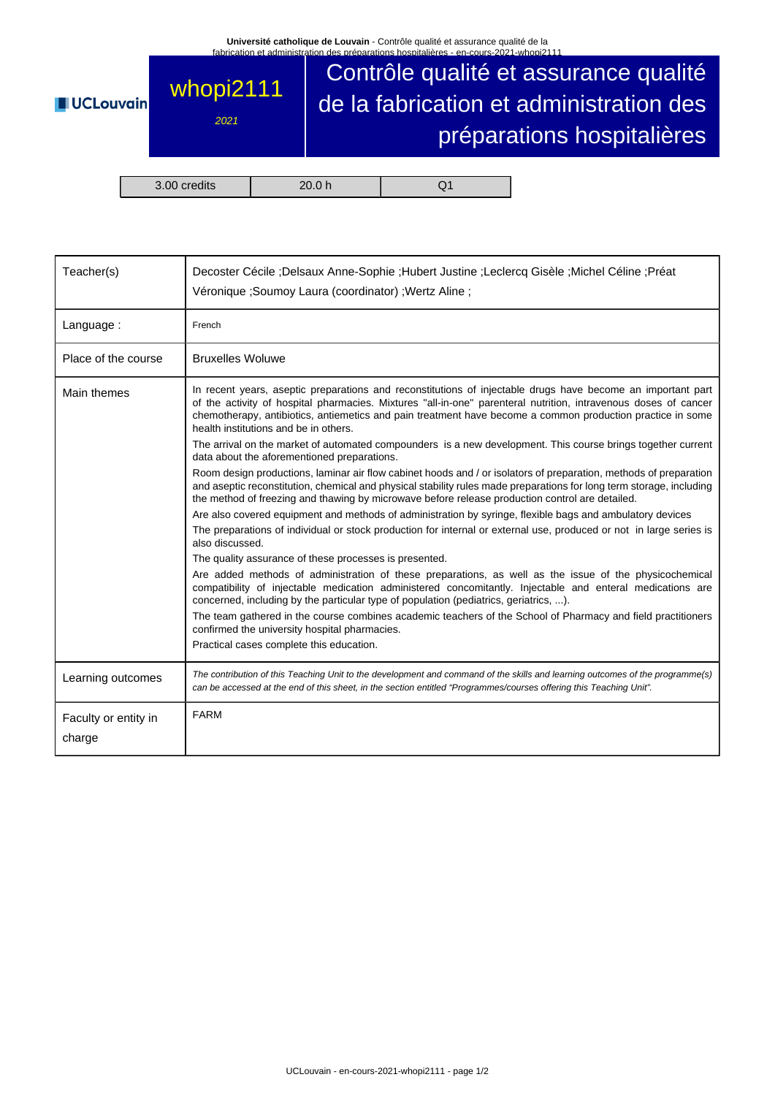

| Teacher(s)                     | Decoster Cécile ;Delsaux Anne-Sophie ;Hubert Justine ;Leclercq Gisèle ;Michel Céline ;Préat<br>Véronique ; Soumoy Laura (coordinator) ; Wertz Aline ;                                                                                                                                                                                                                                                                                                                                                                                                                                                                                                                                                                                                                                                                                                                                                                                                                                                                                                                                                                                                                                                                                                                                                                                                                                                                                                                                                                                                                                                                                                                                                                                              |  |  |  |
|--------------------------------|----------------------------------------------------------------------------------------------------------------------------------------------------------------------------------------------------------------------------------------------------------------------------------------------------------------------------------------------------------------------------------------------------------------------------------------------------------------------------------------------------------------------------------------------------------------------------------------------------------------------------------------------------------------------------------------------------------------------------------------------------------------------------------------------------------------------------------------------------------------------------------------------------------------------------------------------------------------------------------------------------------------------------------------------------------------------------------------------------------------------------------------------------------------------------------------------------------------------------------------------------------------------------------------------------------------------------------------------------------------------------------------------------------------------------------------------------------------------------------------------------------------------------------------------------------------------------------------------------------------------------------------------------------------------------------------------------------------------------------------------------|--|--|--|
| Language:                      | French                                                                                                                                                                                                                                                                                                                                                                                                                                                                                                                                                                                                                                                                                                                                                                                                                                                                                                                                                                                                                                                                                                                                                                                                                                                                                                                                                                                                                                                                                                                                                                                                                                                                                                                                             |  |  |  |
| Place of the course            | <b>Bruxelles Woluwe</b>                                                                                                                                                                                                                                                                                                                                                                                                                                                                                                                                                                                                                                                                                                                                                                                                                                                                                                                                                                                                                                                                                                                                                                                                                                                                                                                                                                                                                                                                                                                                                                                                                                                                                                                            |  |  |  |
| Main themes                    | In recent years, aseptic preparations and reconstitutions of injectable drugs have become an important part<br>of the activity of hospital pharmacies. Mixtures "all-in-one" parenteral nutrition, intravenous doses of cancer<br>chemotherapy, antibiotics, antiemetics and pain treatment have become a common production practice in some<br>health institutions and be in others.<br>The arrival on the market of automated compounders is a new development. This course brings together current<br>data about the aforementioned preparations.<br>Room design productions, laminar air flow cabinet hoods and / or isolators of preparation, methods of preparation<br>and aseptic reconstitution, chemical and physical stability rules made preparations for long term storage, including<br>the method of freezing and thawing by microwave before release production control are detailed.<br>Are also covered equipment and methods of administration by syringe, flexible bags and ambulatory devices<br>The preparations of individual or stock production for internal or external use, produced or not in large series is<br>also discussed.<br>The quality assurance of these processes is presented.<br>Are added methods of administration of these preparations, as well as the issue of the physicochemical<br>compatibility of injectable medication administered concomitantly. Injectable and enteral medications are<br>concerned, including by the particular type of population (pediatrics, geriatrics, ).<br>The team gathered in the course combines academic teachers of the School of Pharmacy and field practitioners<br>confirmed the university hospital pharmacies.<br>Practical cases complete this education. |  |  |  |
| Learning outcomes              | The contribution of this Teaching Unit to the development and command of the skills and learning outcomes of the programme(s)<br>can be accessed at the end of this sheet, in the section entitled "Programmes/courses offering this Teaching Unit".                                                                                                                                                                                                                                                                                                                                                                                                                                                                                                                                                                                                                                                                                                                                                                                                                                                                                                                                                                                                                                                                                                                                                                                                                                                                                                                                                                                                                                                                                               |  |  |  |
| Faculty or entity in<br>charge | <b>FARM</b>                                                                                                                                                                                                                                                                                                                                                                                                                                                                                                                                                                                                                                                                                                                                                                                                                                                                                                                                                                                                                                                                                                                                                                                                                                                                                                                                                                                                                                                                                                                                                                                                                                                                                                                                        |  |  |  |